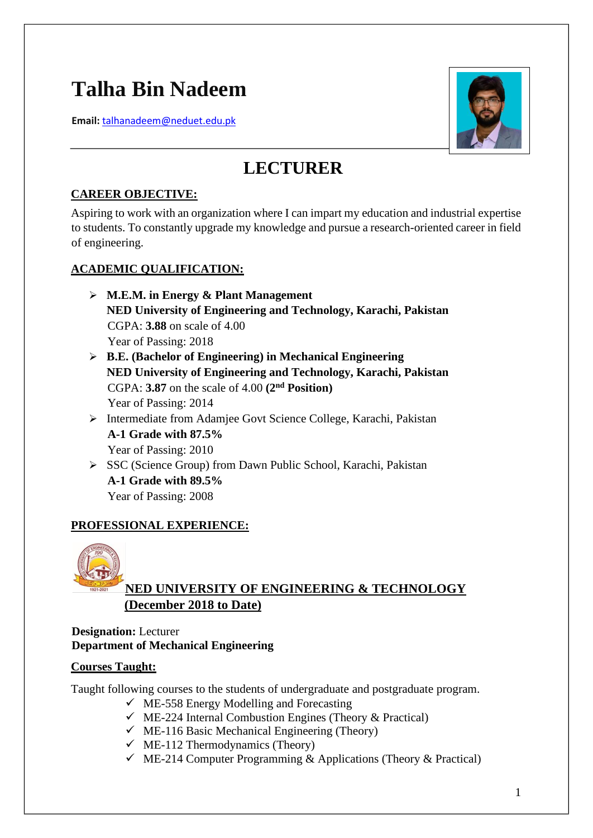## **Talha Bin Nadeem**

**Email:** talhanadeem@neduet.edu.pk



### **LECTURER**

#### **CAREER OBJECTIVE:**

Aspiring to work with an organization where I can impart my education and industrial expertise to students. To constantly upgrade my knowledge and pursue a research-oriented career in field of engineering.

#### **ACADEMIC QUALIFICATION:**

- ➢ **M.E.M. in Energy & Plant Management NED University of Engineering and Technology, Karachi, Pakistan**  CGPA: **3.88** on scale of 4.00 Year of Passing: 2018
- ➢ **B.E. (Bachelor of Engineering) in Mechanical Engineering NED University of Engineering and Technology, Karachi, Pakistan**  CGPA: **3.87** on the scale of 4.00 **(2nd Position)** Year of Passing: 2014
- ➢ Intermediate from Adamjee Govt Science College, Karachi, Pakistan **A-1 Grade with 87.5%**  Year of Passing: 2010
- ➢ SSC (Science Group) from Dawn Public School, Karachi, Pakistan **A-1 Grade with 89.5%**  Year of Passing: 2008

#### **PROFESSIONAL EXPERIENCE:**



#### **NED UNIVERSITY OF ENGINEERING & TECHNOLOGY (December 2018 to Date)**

**Designation:** Lecturer **Department of Mechanical Engineering**

#### **Courses Taught:**

Taught following courses to the students of undergraduate and postgraduate program.

- $\checkmark$  ME-558 Energy Modelling and Forecasting
- $\checkmark$  ME-224 Internal Combustion Engines (Theory & Practical)
- $\checkmark$  ME-116 Basic Mechanical Engineering (Theory)
- $\checkmark$  ME-112 Thermodynamics (Theory)
- $\checkmark$  ME-214 Computer Programming & Applications (Theory & Practical)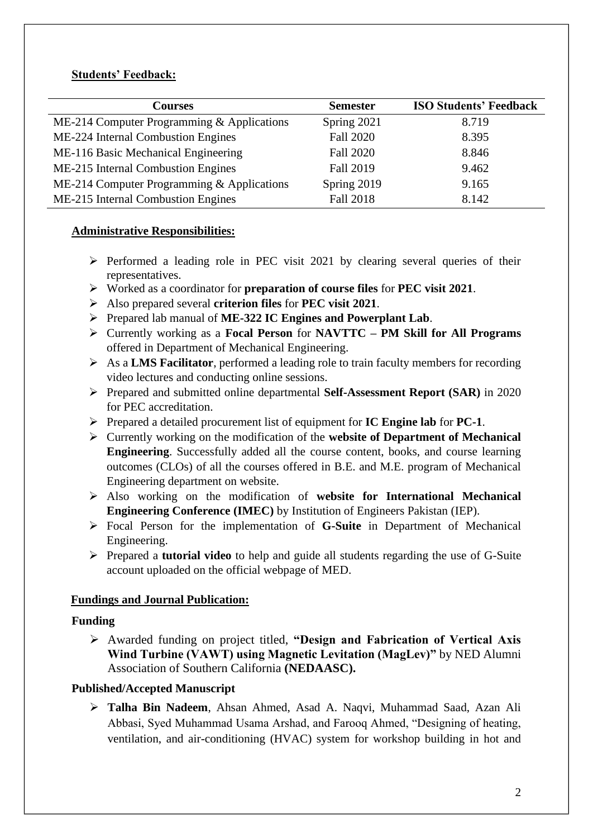#### **Students' Feedback:**

| <b>Courses</b>                               | <b>Semester</b>  | <b>ISO Students' Feedback</b> |
|----------------------------------------------|------------------|-------------------------------|
| ME-214 Computer Programming $&$ Applications | Spring 2021      | 8.719                         |
| ME-224 Internal Combustion Engines           | <b>Fall 2020</b> | 8.395                         |
| ME-116 Basic Mechanical Engineering          | <b>Fall 2020</b> | 8.846                         |
| ME-215 Internal Combustion Engines           | <b>Fall 2019</b> | 9.462                         |
| ME-214 Computer Programming & Applications   | Spring 2019      | 9.165                         |
| ME-215 Internal Combustion Engines           | <b>Fall 2018</b> | 8.142                         |

#### **Administrative Responsibilities:**

- ➢ Performed a leading role in PEC visit 2021 by clearing several queries of their representatives.
- ➢ Worked as a coordinator for **preparation of course files** for **PEC visit 2021**.
- ➢ Also prepared several **criterion files** for **PEC visit 2021**.
- ➢ Prepared lab manual of **ME-322 IC Engines and Powerplant Lab**.
- ➢ Currently working as a **Focal Person** for **NAVTTC – PM Skill for All Programs** offered in Department of Mechanical Engineering.
- ➢ As a **LMS Facilitator**, performed a leading role to train faculty members for recording video lectures and conducting online sessions.
- ➢ Prepared and submitted online departmental **Self-Assessment Report (SAR)** in 2020 for PEC accreditation.
- ➢ Prepared a detailed procurement list of equipment for **IC Engine lab** for **PC-1**.
- ➢ Currently working on the modification of the **website of Department of Mechanical Engineering**. Successfully added all the course content, books, and course learning outcomes (CLOs) of all the courses offered in B.E. and M.E. program of Mechanical Engineering department on website.
- ➢ Also working on the modification of **website for International Mechanical Engineering Conference (IMEC)** by Institution of Engineers Pakistan (IEP).
- ➢ Focal Person for the implementation of **G-Suite** in Department of Mechanical Engineering.
- ➢ Prepared a **tutorial video** to help and guide all students regarding the use of G-Suite account uploaded on the official webpage of MED.

#### **Fundings and Journal Publication:**

#### **Funding**

➢ Awarded funding on project titled, **"Design and Fabrication of Vertical Axis Wind Turbine (VAWT) using Magnetic Levitation (MagLev)"** by NED Alumni Association of Southern California **(NEDAASC).**

#### **Published/Accepted Manuscript**

➢ **Talha Bin Nadeem**, Ahsan Ahmed, Asad A. Naqvi, Muhammad Saad, Azan Ali Abbasi, Syed Muhammad Usama Arshad, and Farooq Ahmed, "Designing of heating, ventilation, and air-conditioning (HVAC) system for workshop building in hot and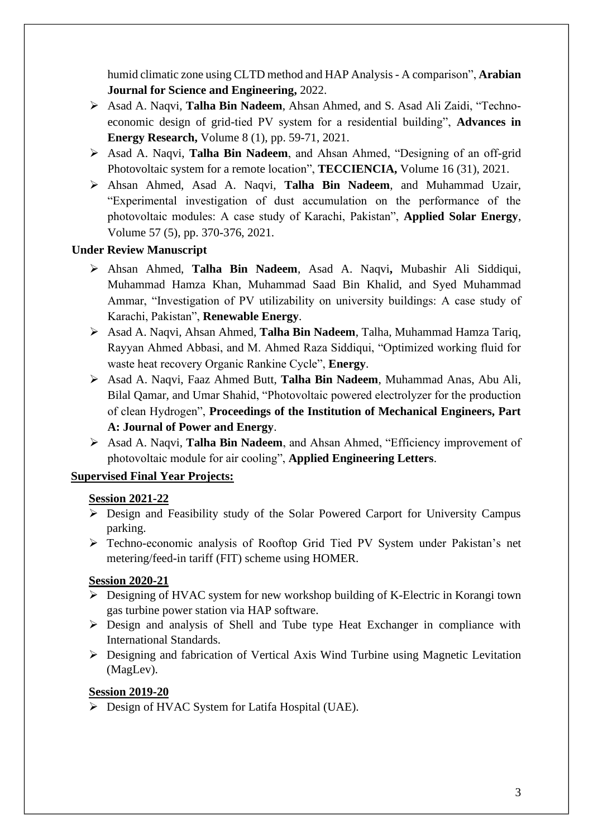humid climatic zone using CLTD method and HAP Analysis - A comparison", **Arabian Journal for Science and Engineering,** 2022.

- ➢ Asad A. Naqvi, **Talha Bin Nadeem**, Ahsan Ahmed, and S. Asad Ali Zaidi, "Technoeconomic design of grid-tied PV system for a residential building", **Advances in Energy Research,** Volume 8 (1), pp. 59-71, 2021.
- ➢ Asad A. Naqvi, **Talha Bin Nadeem**, and Ahsan Ahmed, "Designing of an off-grid Photovoltaic system for a remote location", **TECCIENCIA,** Volume 16 (31), 2021.
- ➢ Ahsan Ahmed, Asad A. Naqvi, **Talha Bin Nadeem**, and Muhammad Uzair, "Experimental investigation of dust accumulation on the performance of the photovoltaic modules: A case study of Karachi, Pakistan", **Applied Solar Energy**, Volume 57 (5), pp. 370-376, 2021.

#### **Under Review Manuscript**

- ➢ Ahsan Ahmed, **Talha Bin Nadeem**, Asad A. Naqvi**,** Mubashir Ali Siddiqui, Muhammad Hamza Khan, Muhammad Saad Bin Khalid, and Syed Muhammad Ammar, "Investigation of PV utilizability on university buildings: A case study of Karachi, Pakistan", **Renewable Energy**.
- ➢ Asad A. Naqvi, Ahsan Ahmed, **Talha Bin Nadeem**, Talha, Muhammad Hamza Tariq, Rayyan Ahmed Abbasi, and M. Ahmed Raza Siddiqui, "Optimized working fluid for waste heat recovery Organic Rankine Cycle", **Energy**.
- ➢ Asad A. Naqvi, Faaz Ahmed Butt, **Talha Bin Nadeem**, Muhammad Anas, Abu Ali, Bilal Qamar, and Umar Shahid, "Photovoltaic powered electrolyzer for the production of clean Hydrogen", **Proceedings of the Institution of Mechanical Engineers, Part A: Journal of Power and Energy**.
- ➢ Asad A. Naqvi, **Talha Bin Nadeem**, and Ahsan Ahmed, "Efficiency improvement of photovoltaic module for air cooling", **Applied Engineering Letters**.

#### **Supervised Final Year Projects:**

#### **Session 2021-22**

- ➢ Design and Feasibility study of the Solar Powered Carport for University Campus parking.
- ➢ Techno-economic analysis of Rooftop Grid Tied PV System under Pakistan's net metering/feed-in tariff (FIT) scheme using HOMER.

#### **Session 2020-21**

- ➢ Designing of HVAC system for new workshop building of K-Electric in Korangi town gas turbine power station via HAP software.
- ➢ Design and analysis of Shell and Tube type Heat Exchanger in compliance with International Standards.
- ➢ Designing and fabrication of Vertical Axis Wind Turbine using Magnetic Levitation (MagLev).

#### **Session 2019-20**

➢ Design of HVAC System for Latifa Hospital (UAE).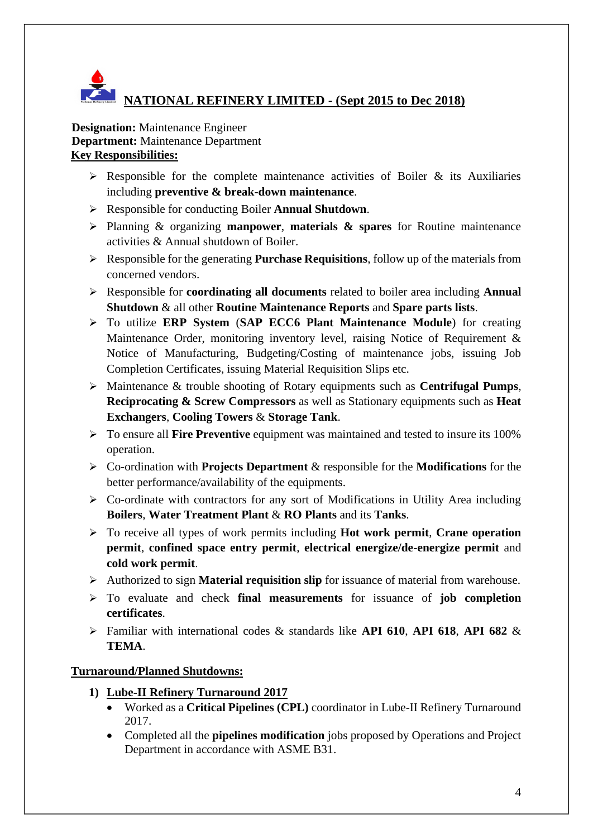

**Designation:** Maintenance Engineer **Department:** Maintenance Department **Key Responsibilities:**

- $\triangleright$  Responsible for the complete maintenance activities of Boiler & its Auxiliaries including **preventive & break-down maintenance**.
- ➢ Responsible for conducting Boiler **Annual Shutdown**.
- ➢ Planning & organizing **manpower**, **materials & spares** for Routine maintenance activities & Annual shutdown of Boiler.
- ➢ Responsible for the generating **Purchase Requisitions**, follow up of the materials from concerned vendors.
- ➢ Responsible for **coordinating all documents** related to boiler area including **Annual Shutdown** & all other **Routine Maintenance Reports** and **Spare parts lists**.
- ➢ To utilize **ERP System** (**SAP ECC6 Plant Maintenance Module**) for creating Maintenance Order, monitoring inventory level, raising Notice of Requirement & Notice of Manufacturing, Budgeting/Costing of maintenance jobs, issuing Job Completion Certificates, issuing Material Requisition Slips etc.
- ➢ Maintenance & trouble shooting of Rotary equipments such as **Centrifugal Pumps**, **Reciprocating & Screw Compressors** as well as Stationary equipments such as **Heat Exchangers**, **Cooling Towers** & **Storage Tank**.
- ➢ To ensure all **Fire Preventive** equipment was maintained and tested to insure its 100% operation.
- ➢ Co-ordination with **Projects Department** & responsible for the **Modifications** for the better performance/availability of the equipments.
- ➢ Co-ordinate with contractors for any sort of Modifications in Utility Area including **Boilers**, **Water Treatment Plant** & **RO Plants** and its **Tanks**.
- ➢ To receive all types of work permits including **Hot work permit**, **Crane operation permit**, **confined space entry permit**, **electrical energize/de-energize permit** and **cold work permit**.
- ➢ Authorized to sign **Material requisition slip** for issuance of material from warehouse.
- ➢ To evaluate and check **final measurements** for issuance of **job completion certificates**.
- ➢ Familiar with international codes & standards like **API 610**, **API 618**, **API 682** & **TEMA**.

#### **Turnaround/Planned Shutdowns:**

- **1) Lube-II Refinery Turnaround 2017**
	- Worked as a **Critical Pipelines (CPL)** coordinator in Lube-II Refinery Turnaround 2017.
	- Completed all the **pipelines modification** jobs proposed by Operations and Project Department in accordance with ASME B31.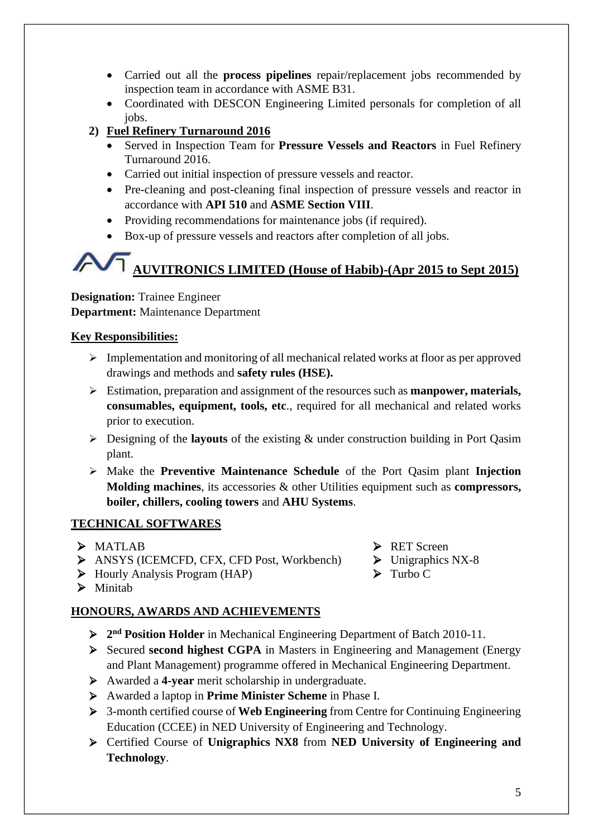- Carried out all the **process pipelines** repair/replacement jobs recommended by inspection team in accordance with ASME B31.
- Coordinated with DESCON Engineering Limited personals for completion of all jobs.
- **2) Fuel Refinery Turnaround 2016**
	- Served in Inspection Team for **Pressure Vessels and Reactors** in Fuel Refinery Turnaround 2016.
	- Carried out initial inspection of pressure vessels and reactor.
	- Pre-cleaning and post-cleaning final inspection of pressure vessels and reactor in accordance with **API 510** and **ASME Section VIII**.
	- Providing recommendations for maintenance jobs (if required).
	- Box-up of pressure vessels and reactors after completion of all jobs.

# **AUVITRONICS LIMITED (House of Habib)-(Apr 2015 to Sept 2015)**

**Designation:** Trainee Engineer **Department:** Maintenance Department

#### **Key Responsibilities:**

- ➢ Implementation and monitoring of all mechanical related works at floor as per approved drawings and methods and **safety rules (HSE).**
- ➢ Estimation, preparation and assignment of the resources such as **manpower, materials, consumables, equipment, tools, etc**., required for all mechanical and related works prior to execution.
- ➢ Designing of the **layouts** of the existing & under construction building in Port Qasim plant.
- ➢ Make the **Preventive Maintenance Schedule** of the Port Qasim plant **Injection Molding machines**, its accessories & other Utilities equipment such as **compressors, boiler, chillers, cooling towers** and **AHU Systems**.

#### **TECHNICAL SOFTWARES**

- 
- ➢ ANSYS (ICEMCFD, CFX, CFD Post, Workbench) ➢ Unigraphics NX-8
- ➢ Hourly Analysis Program (HAP) ➢ Turbo C
- ➢ Minitab

#### **HONOURS, AWARDS AND ACHIEVEMENTS**

- ➢ **2 nd Position Holder** in Mechanical Engineering Department of Batch 2010-11.
- ➢ Secured **second highest CGPA** in Masters in Engineering and Management (Energy and Plant Management) programme offered in Mechanical Engineering Department.
- ➢ Awarded a **4-year** merit scholarship in undergraduate.
- ➢ Awarded a laptop in **Prime Minister Scheme** in Phase I.
- ➢ 3-month certified course of **Web Engineering** from Centre for Continuing Engineering Education (CCEE) in NED University of Engineering and Technology.
- ➢ Certified Course of **Unigraphics NX8** from **NED University of Engineering and Technology**.
- ➢ MATLAB ➢ RET Screen
	-
	-